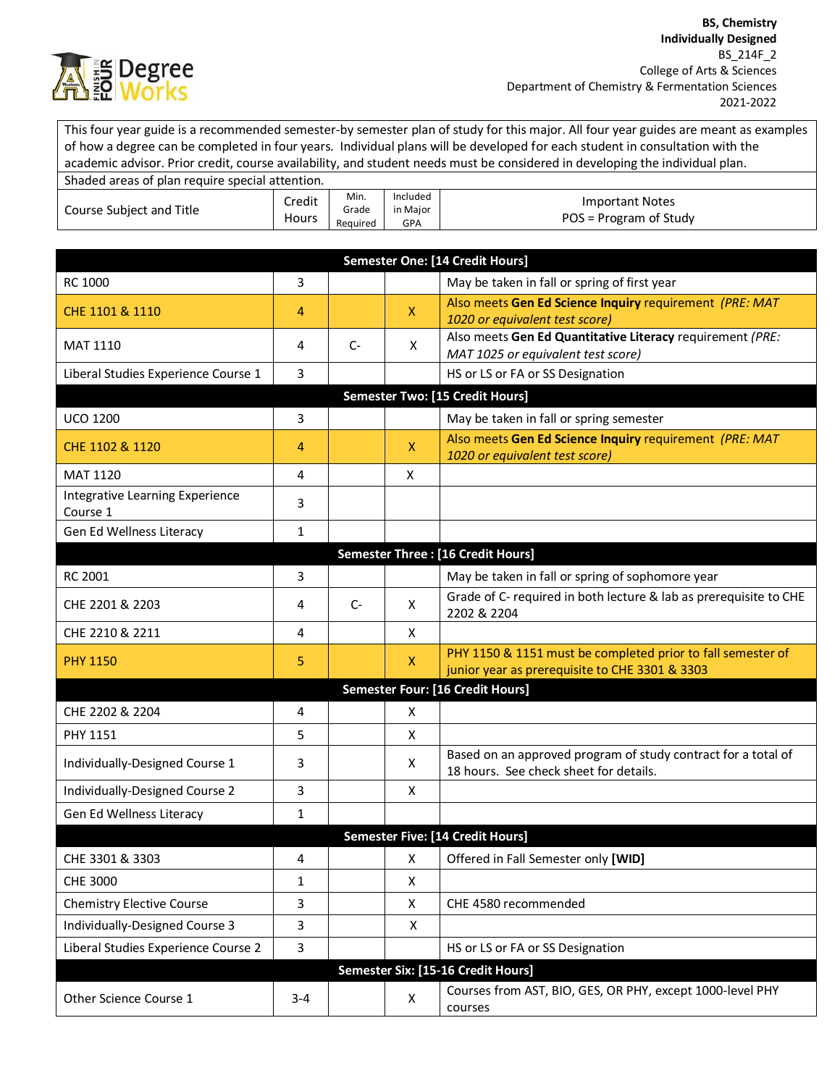

This four year guide is a recommended semester-by semester plan of study for this major. All four year guides are meant as examples of how a degree can be completed in four years. Individual plans will be developed for each student in consultation with the academic advisor. Prior credit, course availability, and student needs must be considered in developing the individual plan.

| Shaded areas of plan require special attention. |                 |                           |                                    |                                                  |
|-------------------------------------------------|-----------------|---------------------------|------------------------------------|--------------------------------------------------|
| Course Subject and Title                        | Credit<br>Hours | Min.<br>Grade<br>Reauired | Included<br>in Major<br><b>GPA</b> | <b>Important Notes</b><br>POS = Program of Study |

|                                             |              |       |                | Semester One: [14 Credit Hours]                                                                               |
|---------------------------------------------|--------------|-------|----------------|---------------------------------------------------------------------------------------------------------------|
| RC 1000                                     | 3            |       |                | May be taken in fall or spring of first year                                                                  |
| CHE 1101 & 1110                             | 4            |       | $\mathsf{X}$   | Also meets Gen Ed Science Inquiry requirement (PRE: MAT<br>1020 or equivalent test score)                     |
| <b>MAT 1110</b>                             | 4            | $C-$  | X              | Also meets Gen Ed Quantitative Literacy requirement (PRE:<br>MAT 1025 or equivalent test score)               |
| Liberal Studies Experience Course 1         | 3            |       |                | HS or LS or FA or SS Designation                                                                              |
|                                             |              |       |                | <b>Semester Two: [15 Credit Hours]</b>                                                                        |
| <b>UCO 1200</b>                             | 3            |       |                | May be taken in fall or spring semester                                                                       |
| CHE 1102 & 1120                             | 4            |       | $\mathsf{X}$   | Also meets Gen Ed Science Inquiry requirement (PRE: MAT<br>1020 or equivalent test score)                     |
| MAT 1120                                    | 4            |       | X              |                                                                                                               |
| Integrative Learning Experience<br>Course 1 | 3            |       |                |                                                                                                               |
| Gen Ed Wellness Literacy                    | $\mathbf{1}$ |       |                |                                                                                                               |
|                                             |              |       |                | Semester Three : [16 Credit Hours]                                                                            |
| RC 2001                                     | 3            |       |                | May be taken in fall or spring of sophomore year                                                              |
| CHE 2201 & 2203                             | 4            | $C -$ | X              | Grade of C- required in both lecture & lab as prerequisite to CHE<br>2202 & 2204                              |
| CHE 2210 & 2211                             | 4            |       | X              |                                                                                                               |
| <b>PHY 1150</b>                             | 5            |       | $\mathsf{X}$   | PHY 1150 & 1151 must be completed prior to fall semester of<br>junior year as prerequisite to CHE 3301 & 3303 |
|                                             |              |       |                | Semester Four: [16 Credit Hours]                                                                              |
| CHE 2202 & 2204                             | 4            |       | X              |                                                                                                               |
| PHY 1151                                    | 5            |       | X              |                                                                                                               |
| Individually-Designed Course 1              | 3            |       | X              | Based on an approved program of study contract for a total of<br>18 hours. See check sheet for details.       |
| Individually-Designed Course 2              | 3            |       | X              |                                                                                                               |
| Gen Ed Wellness Literacy                    | $\mathbf{1}$ |       |                |                                                                                                               |
|                                             |              |       |                | Semester Five: [14 Credit Hours]                                                                              |
| CHE 3301 & 3303                             | 4            |       | X              | Offered in Fall Semester only [WID]                                                                           |
| CHE 3000                                    | $\mathbf{1}$ |       | $\pmb{\times}$ |                                                                                                               |
| <b>Chemistry Elective Course</b>            | 3            |       | $\mathsf{X}$   | CHE 4580 recommended                                                                                          |
| Individually-Designed Course 3              | 3            |       | X              |                                                                                                               |
| Liberal Studies Experience Course 2         | 3            |       |                | HS or LS or FA or SS Designation                                                                              |
|                                             |              |       |                | Semester Six: [15-16 Credit Hours]                                                                            |
| Other Science Course 1                      | $3 - 4$      |       | X              | Courses from AST, BIO, GES, OR PHY, except 1000-level PHY<br>courses                                          |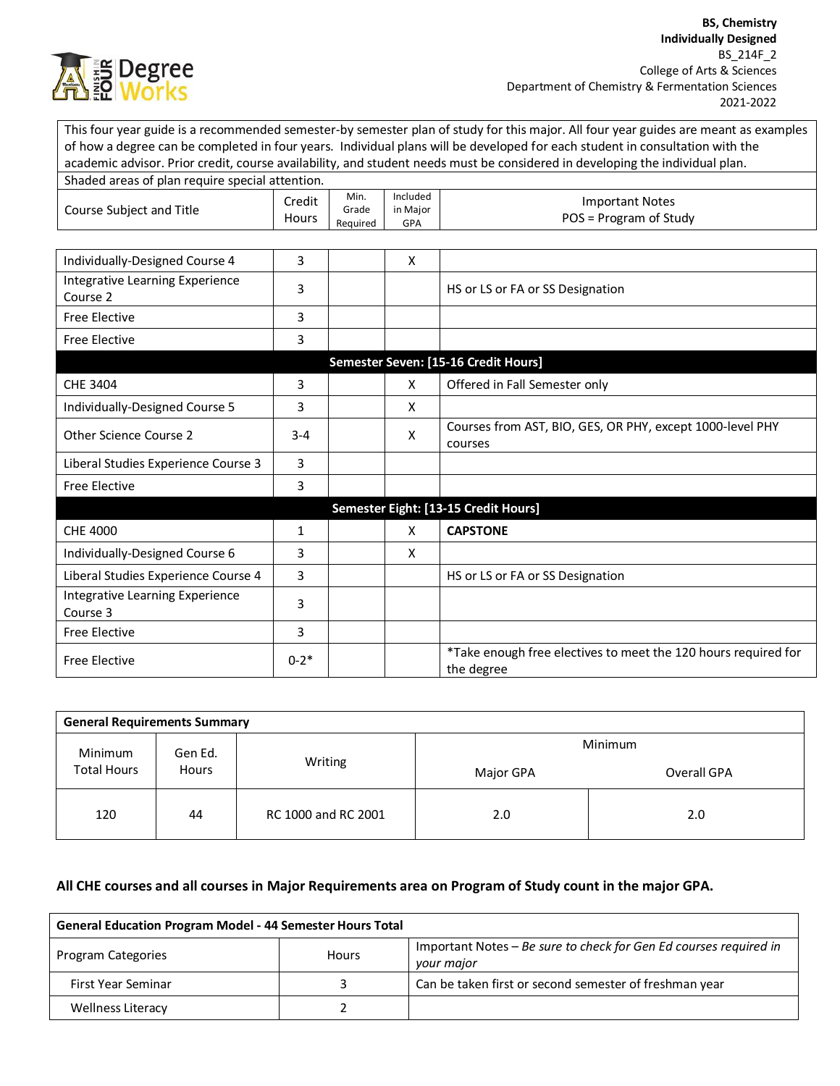

|                                                 |              |               |                 | This four year guide is a recommended semester-by semester plan of study for this major. All four year guides are meant as examples |
|-------------------------------------------------|--------------|---------------|-----------------|-------------------------------------------------------------------------------------------------------------------------------------|
|                                                 |              |               |                 | of how a degree can be completed in four years. Individual plans will be developed for each student in consultation with the        |
|                                                 |              |               |                 | academic advisor. Prior credit, course availability, and student needs must be considered in developing the individual plan.        |
| Shaded areas of plan require special attention. |              |               |                 |                                                                                                                                     |
|                                                 | Credit       | Min.<br>Grade | Included        | <b>Important Notes</b>                                                                                                              |
| Course Subject and Title                        | <b>Hours</b> | Required      | in Major<br>GPA | POS = Program of Study                                                                                                              |
|                                                 |              |               |                 |                                                                                                                                     |
| Individually-Designed Course 4                  | 3            |               | X               |                                                                                                                                     |
| Integrative Learning Experience                 | 3            |               |                 | HS or LS or FA or SS Designation                                                                                                    |
| Course 2                                        |              |               |                 |                                                                                                                                     |
| <b>Free Elective</b>                            | 3            |               |                 |                                                                                                                                     |
| <b>Free Elective</b>                            | 3            |               |                 |                                                                                                                                     |
|                                                 |              |               |                 | Semester Seven: [15-16 Credit Hours]                                                                                                |
| CHE 3404                                        | 3            |               | X               | Offered in Fall Semester only                                                                                                       |
| Individually-Designed Course 5                  | 3            |               | X               |                                                                                                                                     |
| Other Science Course 2                          | $3 - 4$      |               | $\mathsf{x}$    | Courses from AST, BIO, GES, OR PHY, except 1000-level PHY<br>courses                                                                |
| Liberal Studies Experience Course 3             | 3            |               |                 |                                                                                                                                     |
| <b>Free Elective</b>                            | 3            |               |                 |                                                                                                                                     |
|                                                 |              |               |                 | Semester Eight: [13-15 Credit Hours]                                                                                                |
| <b>CHE 4000</b>                                 | $\mathbf{1}$ |               | X               | <b>CAPSTONE</b>                                                                                                                     |
| Individually-Designed Course 6                  | 3            |               | X               |                                                                                                                                     |
| Liberal Studies Experience Course 4             | 3            |               |                 | HS or LS or FA or SS Designation                                                                                                    |
| Integrative Learning Experience<br>Course 3     | 3            |               |                 |                                                                                                                                     |
| <b>Free Elective</b>                            | 3            |               |                 |                                                                                                                                     |
| <b>Free Elective</b>                            | $0 - 2*$     |               |                 | *Take enough free electives to meet the 120 hours required for<br>the degree                                                        |

| <b>General Requirements Summary</b> |         |                     |             |         |
|-------------------------------------|---------|---------------------|-------------|---------|
| Minimum                             | Gen Ed. |                     |             | Minimum |
| <b>Total Hours</b><br><b>Hours</b>  | Writing | Major GPA           | Overall GPA |         |
| 120                                 | 44      | RC 1000 and RC 2001 | 2.0         | 2.0     |

## **All CHE courses and all courses in Major Requirements area on Program of Study count in the major GPA.**

| <b>General Education Program Model - 44 Semester Hours Total</b> |              |                                                                                 |  |
|------------------------------------------------------------------|--------------|---------------------------------------------------------------------------------|--|
| Program Categories                                               | <b>Hours</b> | Important Notes - Be sure to check for Gen Ed courses required in<br>your major |  |
| First Year Seminar                                               |              | Can be taken first or second semester of freshman year                          |  |
| <b>Wellness Literacy</b>                                         |              |                                                                                 |  |